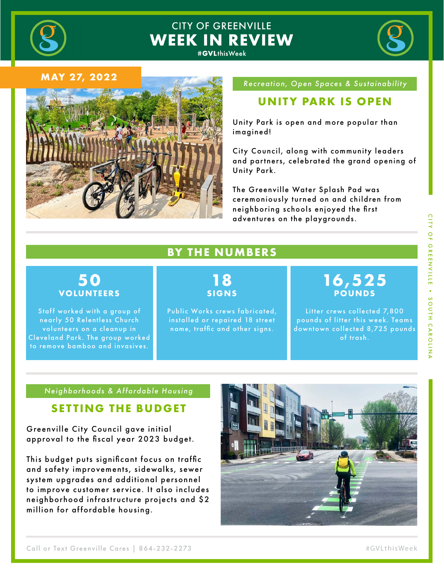

# **CITY OF GREENVILLE WEEK IN REVIEW**



#### **MAY 27, 2022**



#### *Recreation, Open Spaces & Sustainability*

### **UNITY PARK IS OPEN**

Unity Park is open and more popular than imagined!

City Council, along with community leaders and partners, celebrated the grand opening of Unity Park.

The Greenville Water Splash Pad was ceremoniously turned on and children from neighboring schools enjoyed the first adventures on the playgrounds.

### **BY THE NUMBERS**

### **50 VOLUNTEERS**

Staff worked with a group of nearly 50 Relentless Church volunteers on a cleanup in Cleveland Park. The group worked to remove bamboo and invasives.

## **18 SIGNS**

Public Works crews fabricated, installed or repaired 18 street name, traffic and other signs.

# **16,525 POUNDS**

Litter crews collected 7,800  $\frac{a}{2}$ pounds of litter this week. Teams  $\frac{1}{2}$ downtown collected 8,725 pounds of trash.

#### *Neighborhoods & Affordable Housing*

### **SETTING THE BUDGET**

Greenville City Council gave initial approval to the fiscal year 2023 budget.

This budget puts significant focus on traffic and safety improvements, sidewalks, sewer system upgrades and additional personnel to improve customer service. It also includes neighborhood infrastructure projects and \$2 million for affordable housing.

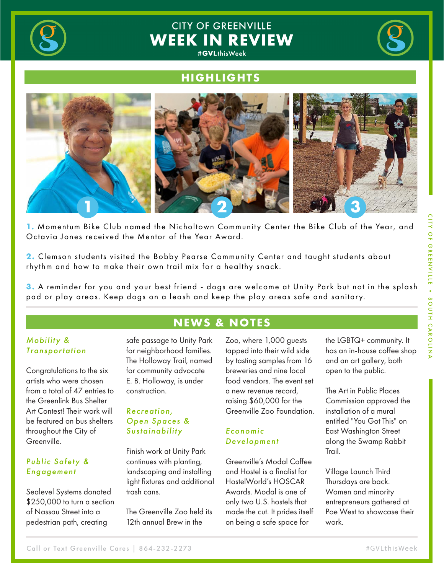

# **CITY OF GREENVILLE WEEK IN REVIEW**



### **HIGHLIGHTS**



1. Momentum Bike Club named the Nicholtown Community Center the Bike Club of the Year, and Octavia Jones received the Mentor of the Year Award.

**2.** Clemson students visited the Bobby Pearse Community Center and taught students about rhythm and how to make their own trail mix for a healthy snack.

**3.** A reminder for you and your best friend - dogs are welcome at Unity Park but not in the splash pad or play areas. Keep dogs on a leash and keep the play areas safe and sanitary.

**NEWS & NOTES**

#### *Mobility & Transportation*

Furman to ride Route 503 and take a tour of the Transit Center.

Congratulations to the six artists who were chosen from a total of 47 entries to the Greenlink Bus Shelter Art Contest! Their work will be featured on bus shelters throughout the City of Greenville.

Ci�zens Transit Academy met at the Publix Shopping Plaza near

#### *Public Safety & Engagement*

Sealevel Systems donated \$250,000 to turn a section of Nassau Street into a pedestrian path, creating

safe passage to Unity Park for neighborhood families. The Holloway Trail, named for community advocate E. B. Holloway, is under construction.

#### *Recreation, Open Spaces & Sustainability*

Finish work at Unity Park continues with planting, landscaping and installing light fixtures and additional trash cans.

The Greenville Zoo held its 12th annual Brew in the

Zoo, where 1,000 guests tapped into their wild side by tasting samples from 16 breweries and nine local food vendors. The event set a new revenue record, raising \$60,000 for the Greenville Zoo Foundation.

#### *Economic Development*

Greenville's Modal Coffee and Hostel is a finalist for HostelWorld's HOSCAR Awards. Modal is one of only two U.S. hostels that made the cut. It prides itself on being a safe space for

the LGBTQ+ community. It has an in-house coffee shop and an art gallery, both open to the public.

The Art in Public Places Commission approved the installation of a mural entitled "You Got This" on East Washington Street along the Swamp Rabbit Trail.

Village Launch Third Thursdays are back. Women and minority entrepreneurs gathered at Poe West to showcase their work.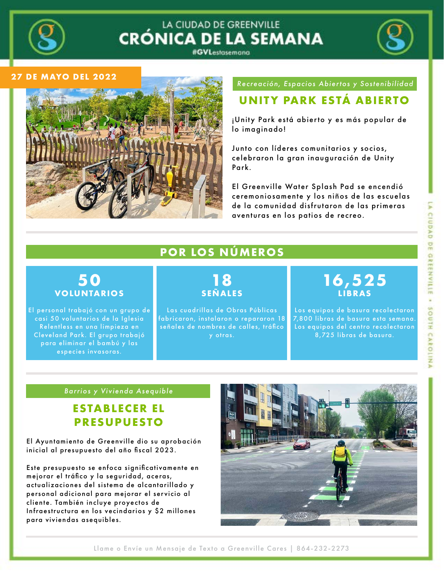

### LA CIUDAD DE GREENVILLE **CRÓNICA DE LA SEMANA** #GVLestasemana



#### **27 DE MAYO DEL 2022**



#### *Recreación, Espacios Abiertos y Sostenibilidad*

# **UNITY PARK ESTÁ ABIERTO**

¡Unity Park está abierto y es más popular de lo imaginado!

Junto con líderes comunitarios y socios, celebraron la gran inauguración de Unity Park.

El Greenville Water Splash Pad se encendió ceremoniosamente y los niños de las escuelas de la comunidad disfrutaron de las primeras aventuras en los patios de recreo.

## **POR LOS NÚMEROS**

### **50 VOLUNTARIOS**

El personal trabajó con un grupo de casi 50 voluntarios de la Iglesia Relentless en una limpieza en Cleveland Park. El grupo trabajó para eliminar el bambú y las especies invasoras.

# **18 SEÑALES**

Las cuadrillas de Obras Públicas fabricaron, instalaron o repararon 18 señales de nombres de calles, tráfico y otras.

# **16,525 LIBRAS**

Los equipos de basura recolectaron Plaza near Academy Met at the Public Shopping Plaza near Academy Plaza near 7,800 libras de basura esta semana.<br>. Los equipos del centro recolectaron 8,725 libras de basura.

#### *Barrios y Vivienda Asequible*

## **ESTABLECER EL PRESUPUESTO**

El Ayuntamiento de Greenville dio su aprobación inicial al presupuesto del año fiscal 2023.

Este presupuesto se enfoca significativamente en mejorar el tráfico y la seguridad, aceras, actualizaciones del sistema de alcantarillado y personal adicional para mejorar el servicio al cliente. También incluye proyectos de Infraestructura en los vecindarios y \$2 millones para viviendas asequibles.



Llame o Envíe un Mensaje de Texto a Greenville Cares | 864-232-2273